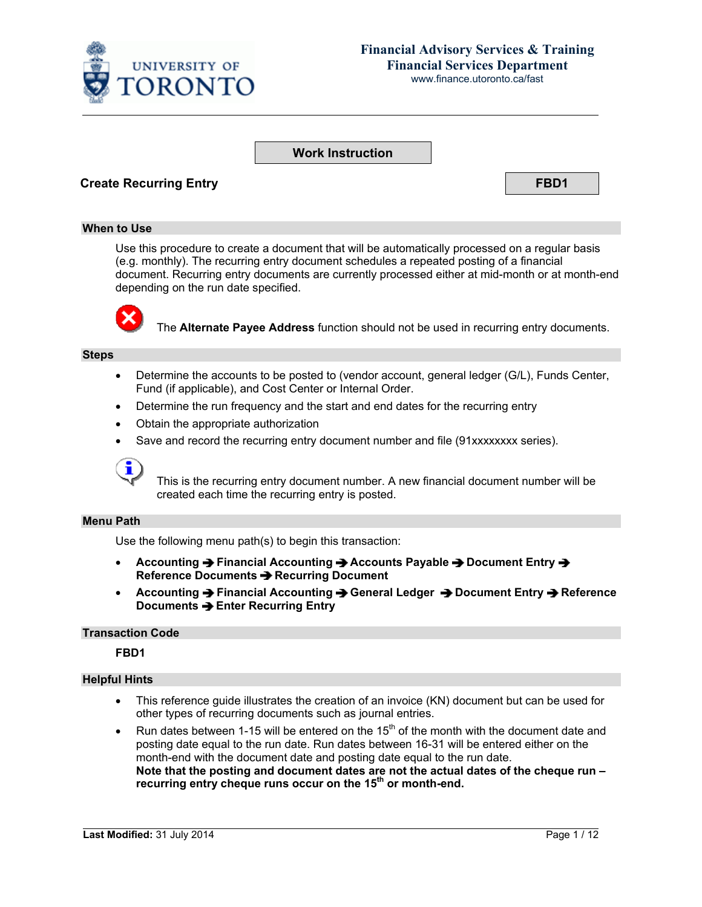

# **Financial Advisory Services & Training Financial Services Department**

www.finance.utoronto.ca/fast

### **Work Instruction**

### **Create Recurring Entry FBD1**

#### **When to Use**

Use this procedure to create a document that will be automatically processed on a regular basis (e.g. monthly). The recurring entry document schedules a repeated posting of a financial document. Recurring entry documents are currently processed either at mid-month or at month-end depending on the run date specified.



The **Alternate Payee Address** function should not be used in recurring entry documents.

#### **Steps**

- Determine the accounts to be posted to (vendor account, general ledger (G/L), Funds Center, Fund (if applicable), and Cost Center or Internal Order.
- Determine the run frequency and the start and end dates for the recurring entry
- Obtain the appropriate authorization
- Save and record the recurring entry document number and file (91xxxxxxxx series).



This is the recurring entry document number. A new financial document number will be created each time the recurring entry is posted.

#### **Menu Path**

Use the following menu path(s) to begin this transaction:

- **Accounting → Financial Accounting → Accounts Payable → Document Entry → Reference Documents**  $\rightarrow$  **Recurring Document**
- **•** Accounting → Financial Accounting → General Ledger → Document Entry → Reference **Documents → Enter Recurring Entry**

#### **Transaction Code**

**FBD1**

#### **Helpful Hints**

- This reference guide illustrates the creation of an invoice (KN) document but can be used for other types of recurring documents such as journal entries.
- Run dates between 1-15 will be entered on the  $15<sup>th</sup>$  of the month with the document date and posting date equal to the run date. Run dates between 16-31 will be entered either on the month-end with the document date and posting date equal to the run date. **Note that the posting and document dates are not the actual dates of the cheque run –** recurring entry cheque runs occur on the 15<sup>th</sup> or month-end.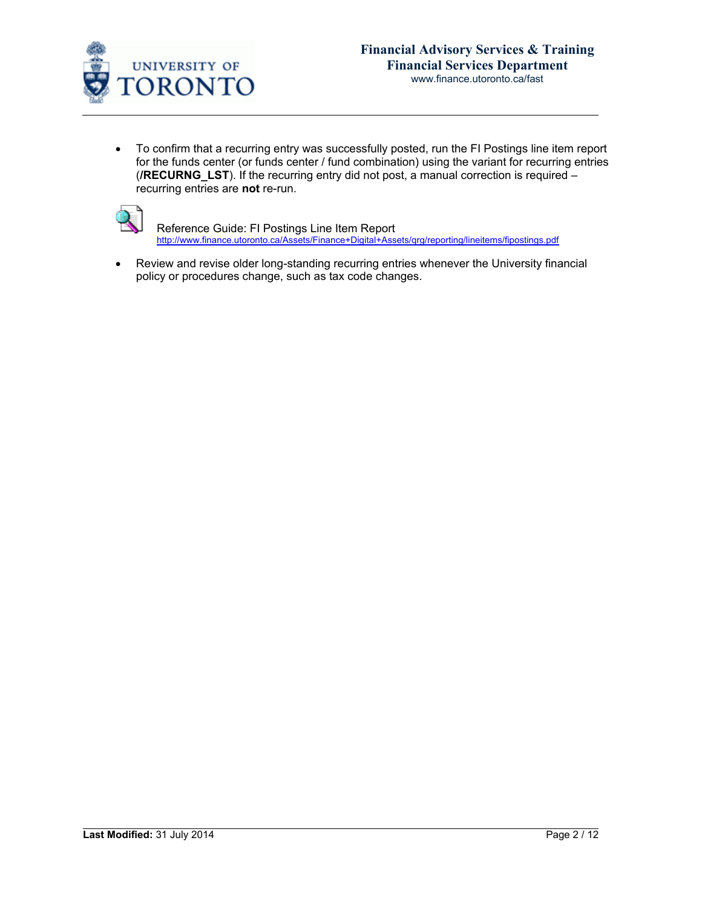

• To confirm that a recurring entry was successfully posted, run the FI Postings line item report for the funds center (or funds center / fund combination) using the variant for recurring entries (**/RECURNG\_LST**). If the recurring entry did not post, a manual correction is required – recurring entries are **not** re-run.



Reference Guide: FI Postings Line Item Report [http://www.finance.utoronto.ca/Assets/Finance+Digital+Assets/qrg/reporting/lineitems/fipostings.pdf](http://finance.utoronto.ca/wp-content/uploads/2015/10/fipostings.pdf)

• Review and revise older long-standing recurring entries whenever the University financial policy or procedures change, such as tax code changes.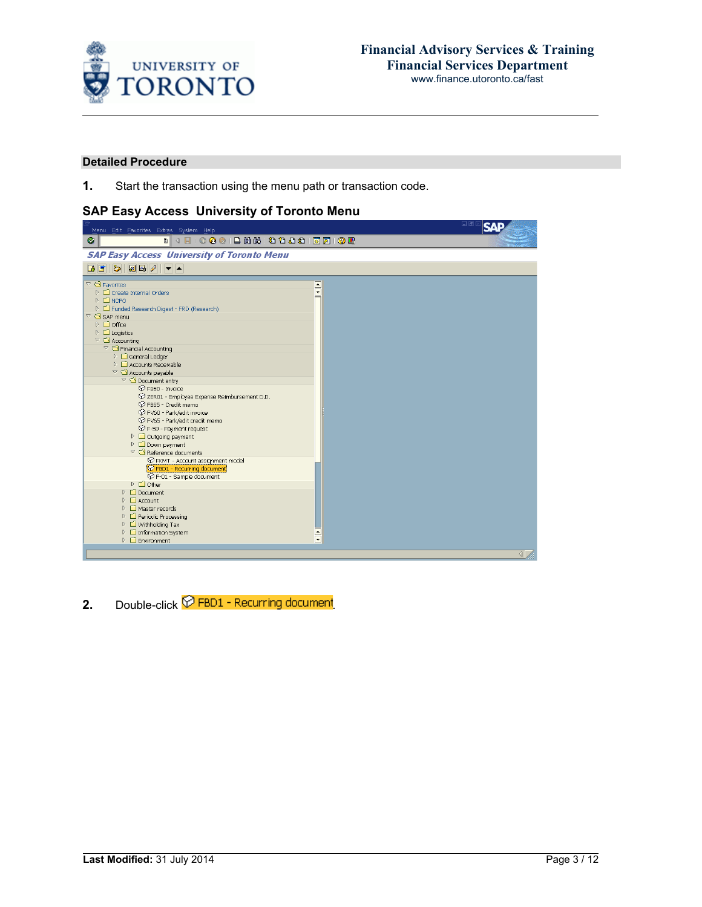

#### **Detailed Procedure**

**1.** Start the transaction using the menu path or transaction code.

## **SAP Easy Access University of Toronto Menu**

| Menu Edit Favorites Extras System Help                                                                                                                                                                                                                                                                                                                                                                                                                                                                                                                                                                                                                                                                                                                                                                                                                                                                                                                                                                                                                                                                                                                                                                                                         | 口回区                                                             |
|------------------------------------------------------------------------------------------------------------------------------------------------------------------------------------------------------------------------------------------------------------------------------------------------------------------------------------------------------------------------------------------------------------------------------------------------------------------------------------------------------------------------------------------------------------------------------------------------------------------------------------------------------------------------------------------------------------------------------------------------------------------------------------------------------------------------------------------------------------------------------------------------------------------------------------------------------------------------------------------------------------------------------------------------------------------------------------------------------------------------------------------------------------------------------------------------------------------------------------------------|-----------------------------------------------------------------|
| Ø                                                                                                                                                                                                                                                                                                                                                                                                                                                                                                                                                                                                                                                                                                                                                                                                                                                                                                                                                                                                                                                                                                                                                                                                                                              |                                                                 |
| <b>SAP Easy Access University of Toronto Menu</b>                                                                                                                                                                                                                                                                                                                                                                                                                                                                                                                                                                                                                                                                                                                                                                                                                                                                                                                                                                                                                                                                                                                                                                                              |                                                                 |
| <b>BEDEE</b> 2 -                                                                                                                                                                                                                                                                                                                                                                                                                                                                                                                                                                                                                                                                                                                                                                                                                                                                                                                                                                                                                                                                                                                                                                                                                               |                                                                 |
| $\sqrt{\phantom{a}}$ Favorites<br>$\triangleright$ $\Box$ Create Internal Orders<br>⊵ □ мово<br>D El Funded Research Digest - FRD (Research)<br>$\heartsuit$ SAP menu<br>$\triangleright$ $\Box$ Office<br>$\triangleright$ $\Box$ Logistics<br>$\triangledown$ $\bigodot$ Accounting<br>$\heartsuit$ $\heartsuit$ Financial Accounting<br>$\triangleright$ $\Box$ General Ledger<br>$\triangleright$ $\Box$ Accounts Receivable<br>$\sqrt{\phantom{a}}$ Accounts payable<br>$\triangledown$ $\bigcirc$ Document entry<br>P FB60 - Invoice<br>© ZER01 - Employee Expense Reimbursement D.D.<br>P FB65 - Credit memo<br><b>⊙</b> FV60 - Park/edit invoice<br>P FV65 - Park/edit credit memo<br>← F-59 - Payment request<br>$\triangleright$ $\Box$ Outgoing payment<br>$\triangleright$ $\Box$ Down payment<br>$\triangledown$ $\bigodot$ Reference documents<br>P FKMT - Account assignment model<br>P FBD1 - Recurring document<br>PF-01 - Sample document<br>$D$ $\Box$ Other<br>$\triangleright$ $\Box$ Document<br>$\triangleright$ $\Box$ Account<br>$\triangleright$ $\Box$ Master records<br>P <b>C</b> Periodic Processing<br>$\triangleright$ $\Box$ Withholding Tax<br>▷ □ Information System<br>$\triangleright$ $\Box$ Environment | $\frac{1}{\sqrt{2}}$<br>$\frac{1}{\sqrt{2}}$<br>$\triangleleft$ |

**2.** Double-click  $\widehat{P}$  FBD1 - Recurring document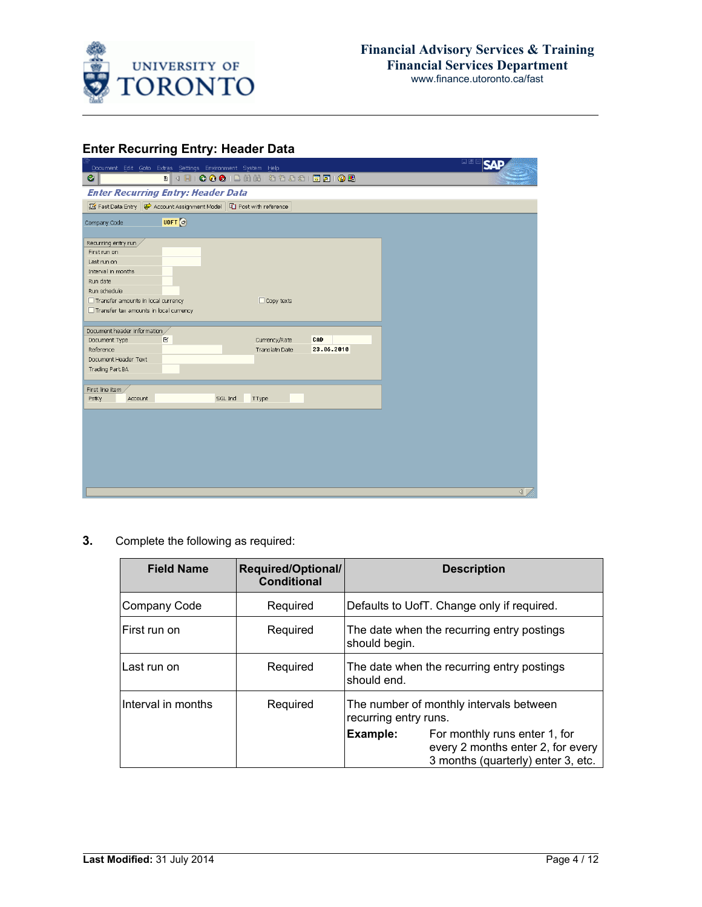

## **Enter Recurring Entry: Header Data**

| . 4 8 6 6 6 8 8 8 8 9 9 8 9 8 8 9 8 8<br>Ø<br><b>Enter Recurring Entry: Header Data</b><br>Fast Data Entry $\bigotimes$ Account Assignment Model $\bigotimes$ Post with reference<br>UOFT <sup>e</sup><br>Recurring entry run<br>First run on<br>Last run on<br>Interval in months<br>Run date<br>Run schedule<br>Transfer amounts in local currency<br>$\Box$ Copy texts<br>Transfer tax amounts in local currency<br>Document header information /<br>CAD<br>Document Type<br>$\mathbb{R}$<br>Currency/Rate<br>23.06.2010<br>Translatn Date<br>Reference<br>Document Header Text<br>Trading Part.BA<br>First line item<br>SGL Ind<br>PstKy<br>Account<br>TType<br>$\overline{\mathbb{I}}$ | Document Edit Goto Extras Settings Environment System Help | 口回区<br>SΛ |
|---------------------------------------------------------------------------------------------------------------------------------------------------------------------------------------------------------------------------------------------------------------------------------------------------------------------------------------------------------------------------------------------------------------------------------------------------------------------------------------------------------------------------------------------------------------------------------------------------------------------------------------------------------------------------------------------|------------------------------------------------------------|-----------|
|                                                                                                                                                                                                                                                                                                                                                                                                                                                                                                                                                                                                                                                                                             |                                                            |           |
|                                                                                                                                                                                                                                                                                                                                                                                                                                                                                                                                                                                                                                                                                             |                                                            |           |
|                                                                                                                                                                                                                                                                                                                                                                                                                                                                                                                                                                                                                                                                                             |                                                            |           |
|                                                                                                                                                                                                                                                                                                                                                                                                                                                                                                                                                                                                                                                                                             | Company Code                                               |           |
|                                                                                                                                                                                                                                                                                                                                                                                                                                                                                                                                                                                                                                                                                             |                                                            |           |
|                                                                                                                                                                                                                                                                                                                                                                                                                                                                                                                                                                                                                                                                                             |                                                            |           |
|                                                                                                                                                                                                                                                                                                                                                                                                                                                                                                                                                                                                                                                                                             |                                                            |           |
|                                                                                                                                                                                                                                                                                                                                                                                                                                                                                                                                                                                                                                                                                             |                                                            |           |
|                                                                                                                                                                                                                                                                                                                                                                                                                                                                                                                                                                                                                                                                                             |                                                            |           |
|                                                                                                                                                                                                                                                                                                                                                                                                                                                                                                                                                                                                                                                                                             |                                                            |           |
|                                                                                                                                                                                                                                                                                                                                                                                                                                                                                                                                                                                                                                                                                             |                                                            |           |
|                                                                                                                                                                                                                                                                                                                                                                                                                                                                                                                                                                                                                                                                                             |                                                            |           |
|                                                                                                                                                                                                                                                                                                                                                                                                                                                                                                                                                                                                                                                                                             |                                                            |           |
|                                                                                                                                                                                                                                                                                                                                                                                                                                                                                                                                                                                                                                                                                             |                                                            |           |
|                                                                                                                                                                                                                                                                                                                                                                                                                                                                                                                                                                                                                                                                                             |                                                            |           |
|                                                                                                                                                                                                                                                                                                                                                                                                                                                                                                                                                                                                                                                                                             |                                                            |           |
|                                                                                                                                                                                                                                                                                                                                                                                                                                                                                                                                                                                                                                                                                             |                                                            |           |
|                                                                                                                                                                                                                                                                                                                                                                                                                                                                                                                                                                                                                                                                                             |                                                            |           |
|                                                                                                                                                                                                                                                                                                                                                                                                                                                                                                                                                                                                                                                                                             |                                                            |           |
|                                                                                                                                                                                                                                                                                                                                                                                                                                                                                                                                                                                                                                                                                             |                                                            |           |
|                                                                                                                                                                                                                                                                                                                                                                                                                                                                                                                                                                                                                                                                                             |                                                            |           |
|                                                                                                                                                                                                                                                                                                                                                                                                                                                                                                                                                                                                                                                                                             |                                                            |           |
|                                                                                                                                                                                                                                                                                                                                                                                                                                                                                                                                                                                                                                                                                             |                                                            |           |
|                                                                                                                                                                                                                                                                                                                                                                                                                                                                                                                                                                                                                                                                                             |                                                            |           |
|                                                                                                                                                                                                                                                                                                                                                                                                                                                                                                                                                                                                                                                                                             |                                                            |           |
|                                                                                                                                                                                                                                                                                                                                                                                                                                                                                                                                                                                                                                                                                             |                                                            |           |
|                                                                                                                                                                                                                                                                                                                                                                                                                                                                                                                                                                                                                                                                                             |                                                            |           |
|                                                                                                                                                                                                                                                                                                                                                                                                                                                                                                                                                                                                                                                                                             |                                                            |           |
|                                                                                                                                                                                                                                                                                                                                                                                                                                                                                                                                                                                                                                                                                             |                                                            |           |

**3.** Complete the following as required:

| <b>Field Name</b>  | <b>Required/Optional/</b><br><b>Conditional</b> | <b>Description</b>                                                                                                   |  |
|--------------------|-------------------------------------------------|----------------------------------------------------------------------------------------------------------------------|--|
| Company Code       | Required                                        | Defaults to UofT. Change only if required.                                                                           |  |
| First run on       | Required                                        | The date when the recurring entry postings<br>should begin.                                                          |  |
| Last run on        | Required                                        | The date when the recurring entry postings<br>should end.                                                            |  |
| Interval in months | Required                                        | The number of monthly intervals between<br>recurring entry runs.                                                     |  |
|                    |                                                 | Example:<br>For monthly runs enter 1, for<br>every 2 months enter 2, for every<br>3 months (quarterly) enter 3, etc. |  |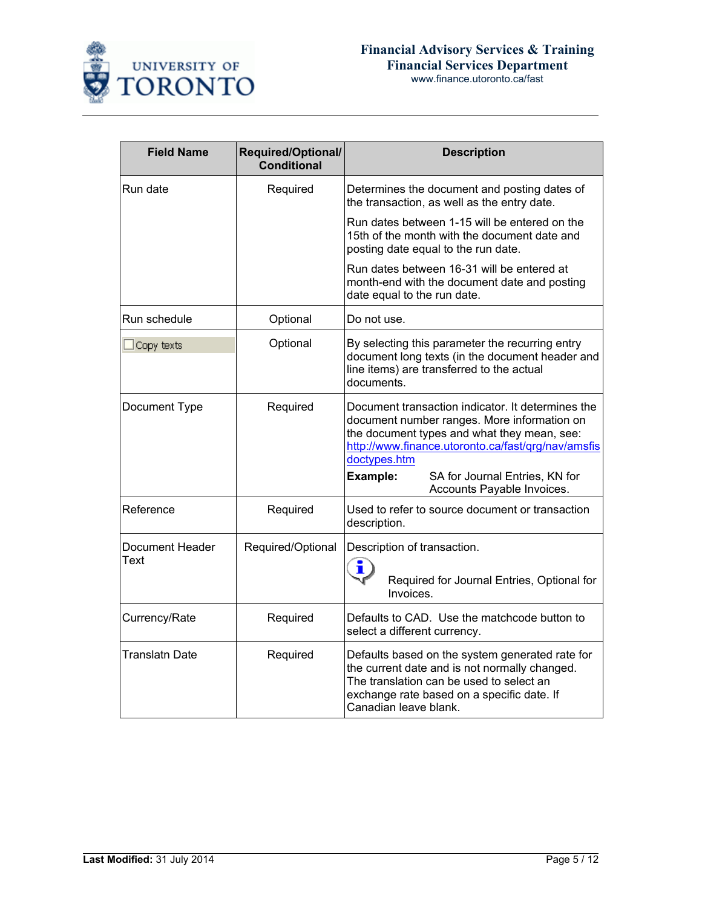

| <b>Field Name</b>              | Required/Optional/<br><b>Conditional</b> | <b>Description</b>                                                                                                                                                                                                                                                                                |
|--------------------------------|------------------------------------------|---------------------------------------------------------------------------------------------------------------------------------------------------------------------------------------------------------------------------------------------------------------------------------------------------|
| Run date                       | Required                                 | Determines the document and posting dates of<br>the transaction, as well as the entry date.                                                                                                                                                                                                       |
|                                |                                          | Run dates between 1-15 will be entered on the<br>15th of the month with the document date and<br>posting date equal to the run date.                                                                                                                                                              |
|                                |                                          | Run dates between 16-31 will be entered at<br>month-end with the document date and posting<br>date equal to the run date.                                                                                                                                                                         |
| Run schedule                   | Optional                                 | Do not use.                                                                                                                                                                                                                                                                                       |
| Copy texts                     | Optional                                 | By selecting this parameter the recurring entry<br>document long texts (in the document header and<br>line items) are transferred to the actual<br>documents.                                                                                                                                     |
| Document Type                  | Required                                 | Document transaction indicator. It determines the<br>document number ranges. More information on<br>the document types and what they mean, see:<br>http://www.finance.utoronto.ca/fast/grg/nav/amsfis<br>doctypes.htm<br>Example:<br>SA for Journal Entries, KN for<br>Accounts Payable Invoices. |
| Reference                      | Required                                 | Used to refer to source document or transaction<br>description.                                                                                                                                                                                                                                   |
| <b>Document Header</b><br>Text | Required/Optional                        | Description of transaction.<br>i<br>Required for Journal Entries, Optional for<br>Invoices.                                                                                                                                                                                                       |
| Currency/Rate                  | Required                                 | Defaults to CAD. Use the matchcode button to<br>select a different currency.                                                                                                                                                                                                                      |
| Translatn Date                 | Required                                 | Defaults based on the system generated rate for<br>the current date and is not normally changed.<br>The translation can be used to select an<br>exchange rate based on a specific date. If<br>Canadian leave blank.                                                                               |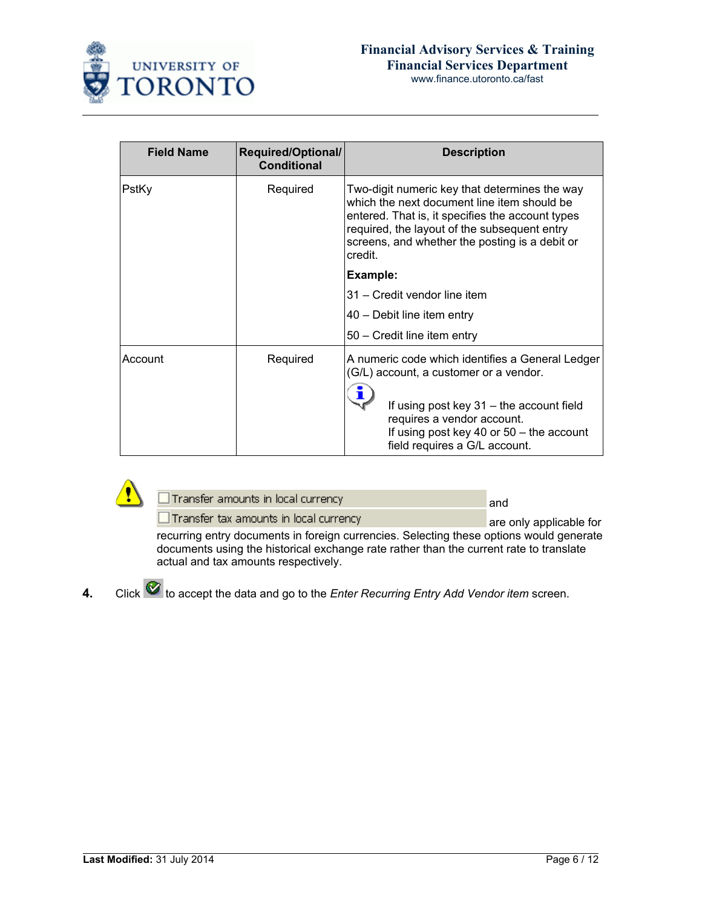

www.finance.utoronto.ca/fast

| <b>Field Name</b> | Required/Optional/<br><b>Conditional</b> | <b>Description</b>                                                                                                                                                                                                                                            |  |
|-------------------|------------------------------------------|---------------------------------------------------------------------------------------------------------------------------------------------------------------------------------------------------------------------------------------------------------------|--|
| PstKy             | Required                                 | Two-digit numeric key that determines the way<br>which the next document line item should be<br>entered. That is, it specifies the account types<br>required, the layout of the subsequent entry<br>screens, and whether the posting is a debit or<br>credit. |  |
|                   |                                          | Example:                                                                                                                                                                                                                                                      |  |
|                   |                                          | 31 – Credit vendor line item                                                                                                                                                                                                                                  |  |
|                   |                                          | 40 – Debit line item entry                                                                                                                                                                                                                                    |  |
|                   |                                          | 50 - Credit line item entry                                                                                                                                                                                                                                   |  |
| Account           | Required                                 | A numeric code which identifies a General Ledger<br>(G/L) account, a customer or a vendor.<br>If using post key 31 – the account field<br>requires a vendor account.<br>If using post key 40 or $50 -$ the account<br>field requires a G/L account.           |  |



| Transfer amounts in local currency |  |
|------------------------------------|--|
|                                    |  |
|                                    |  |

 $\Box$  Transfer tax amounts in local currency are only applicable for recurring entry documents in foreign currencies. Selecting these options would generate documents using the historical exchange rate rather than the current rate to translate actual and tax amounts respectively.

**4.** Click  $\heartsuit$  to accept the data and go to the *Enter Recurring Entry Add Vendor item* screen.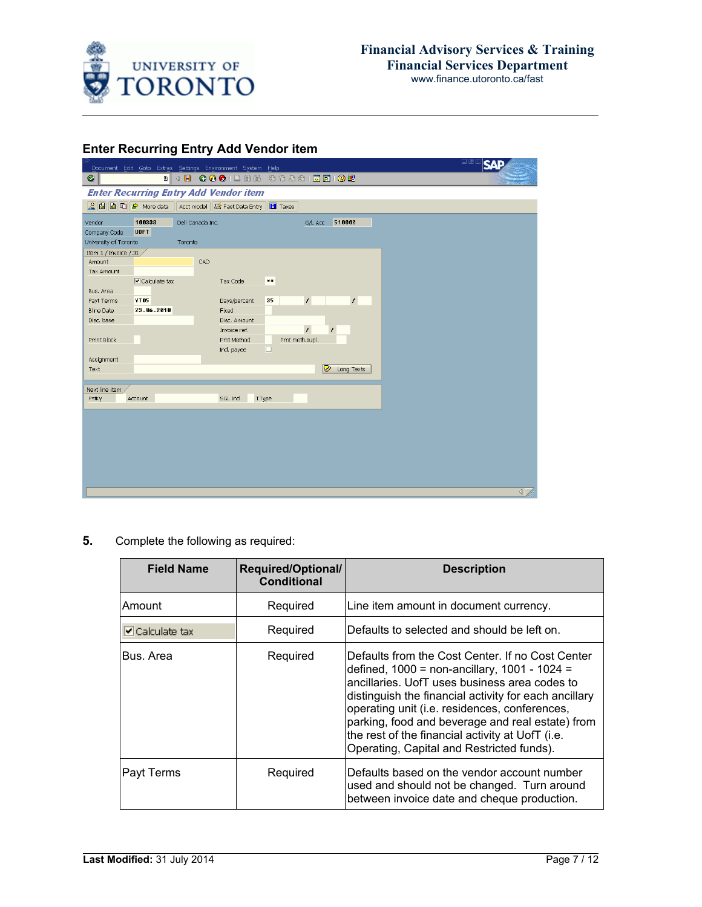

## **Enter Recurring Entry Add Vendor item**

|                       |                               |                  | Document Edit Goto Extras Settings Environment System Help       |        |                |            | L⊠⊠∣SAE          |
|-----------------------|-------------------------------|------------------|------------------------------------------------------------------|--------|----------------|------------|------------------|
| Ø                     |                               |                  | . 4 8 6 6 6 1 8 8 8 9 8 8 8 8 8 8 8 8 8                          |        |                |            |                  |
|                       |                               |                  | <b>Enter Recurring Entry Add Vendor item</b>                     |        |                |            |                  |
|                       |                               |                  | Q <b>G</b> G C → More data Acct model G Fast Data Entry II Taxes |        |                |            |                  |
| Vendor                | 100333                        | Dell Canada Inc. |                                                                  |        | G/L Acc        | 510000     |                  |
| Company Code          | <b>UOFT</b>                   |                  |                                                                  |        |                |            |                  |
| University of Toronto |                               | Toronto          |                                                                  |        |                |            |                  |
| Item 1 / Invoice / 31 |                               |                  |                                                                  |        |                |            |                  |
| Amount                |                               | CAD              |                                                                  |        |                |            |                  |
| Tax Amount            |                               |                  |                                                                  |        |                |            |                  |
|                       | $\triangledown$ Calculate tax |                  | Tax Code                                                         | $***$  |                |            |                  |
| Bus. Area             |                               |                  |                                                                  |        |                |            |                  |
| Payt Terms            | <b>YT 85</b>                  |                  | Days/percent                                                     | 35     | 7              | $\prime$   |                  |
| <b>Bline Date</b>     | 23.06.2010                    |                  | Fixed                                                            |        |                |            |                  |
| Disc. base            |                               |                  | Disc. Amount                                                     |        |                |            |                  |
|                       |                               |                  | Invoice ref.<br>Pmt Method                                       |        | $\prime$       |            |                  |
| Pmnt Block            |                               |                  | Ind. payee                                                       | $\Box$ | Pmt meth.supl. |            |                  |
| Assignment            |                               |                  |                                                                  |        |                |            |                  |
| Text                  |                               |                  |                                                                  |        | D              | Long Texts |                  |
|                       |                               |                  |                                                                  |        |                |            |                  |
| Next line item,       |                               |                  |                                                                  |        |                |            |                  |
| PstKy                 | Account                       |                  | SGL Ind                                                          | TType  |                |            |                  |
|                       |                               |                  |                                                                  |        |                |            |                  |
|                       |                               |                  |                                                                  |        |                |            |                  |
|                       |                               |                  |                                                                  |        |                |            |                  |
|                       |                               |                  |                                                                  |        |                |            |                  |
|                       |                               |                  |                                                                  |        |                |            |                  |
|                       |                               |                  |                                                                  |        |                |            |                  |
|                       |                               |                  |                                                                  |        |                |            |                  |
|                       |                               |                  |                                                                  |        |                |            |                  |
|                       |                               |                  |                                                                  |        |                |            | $\left  \right $ |
|                       |                               |                  |                                                                  |        |                |            |                  |

**5.** Complete the following as required:

| <b>Field Name</b>              | <b>Required/Optional/</b><br><b>Conditional</b> | <b>Description</b>                                                                                                                                                                                                                                                                                                                                                                                                        |
|--------------------------------|-------------------------------------------------|---------------------------------------------------------------------------------------------------------------------------------------------------------------------------------------------------------------------------------------------------------------------------------------------------------------------------------------------------------------------------------------------------------------------------|
| Amount                         | Required                                        | Line item amount in document currency.                                                                                                                                                                                                                                                                                                                                                                                    |
| $\triangleright$ Calculate tax | Required                                        | Defaults to selected and should be left on.                                                                                                                                                                                                                                                                                                                                                                               |
| Bus, Area                      | Required                                        | Defaults from the Cost Center. If no Cost Center<br>defined, $1000 = \text{non-ancillary}, 1001 - 1024 =$<br>ancillaries. UofT uses business area codes to<br>distinguish the financial activity for each ancillary<br>operating unit (i.e. residences, conferences,<br>parking, food and beverage and real estate) from<br>the rest of the financial activity at UofT (i.e.<br>Operating, Capital and Restricted funds). |
| Payt Terms                     | Required                                        | Defaults based on the vendor account number<br>used and should not be changed. Turn around<br>between invoice date and cheque production.                                                                                                                                                                                                                                                                                 |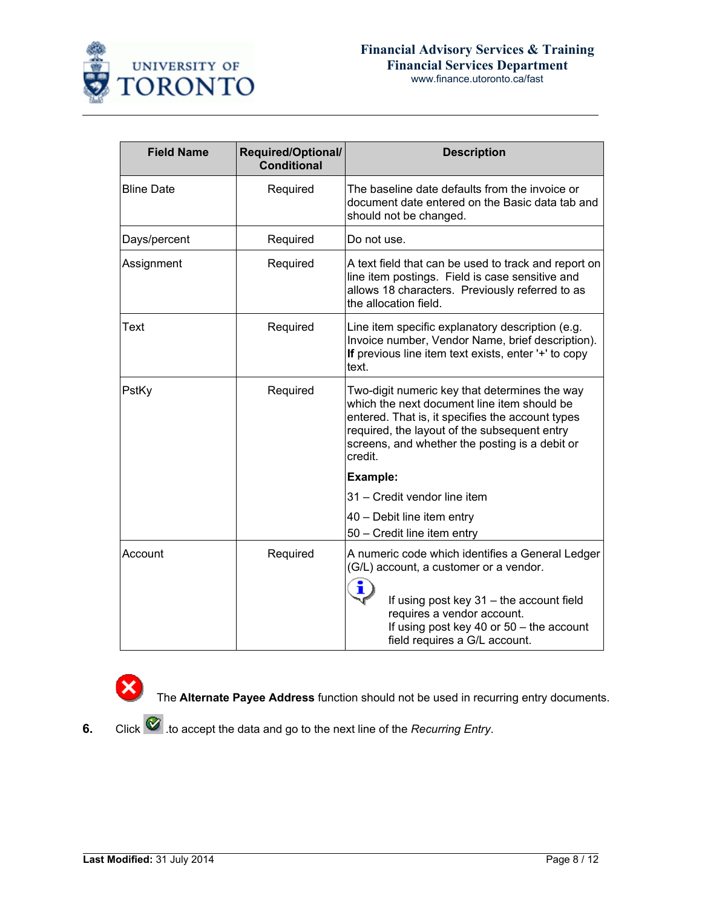

www.finance.utoronto.ca/fast

| <b>Field Name</b> | <b>Required/Optional/</b><br><b>Conditional</b> | <b>Description</b>                                                                                                                                                                                                                                            |
|-------------------|-------------------------------------------------|---------------------------------------------------------------------------------------------------------------------------------------------------------------------------------------------------------------------------------------------------------------|
| <b>Bline Date</b> | Required                                        | The baseline date defaults from the invoice or<br>document date entered on the Basic data tab and<br>should not be changed.                                                                                                                                   |
| Days/percent      | Required                                        | Do not use.                                                                                                                                                                                                                                                   |
| Assignment        | Required                                        | A text field that can be used to track and report on<br>line item postings. Field is case sensitive and<br>allows 18 characters. Previously referred to as<br>the allocation field.                                                                           |
| Text              | Required                                        | Line item specific explanatory description (e.g.<br>Invoice number, Vendor Name, brief description).<br>If previous line item text exists, enter '+' to copy<br>text.                                                                                         |
| PstKy             | Required                                        | Two-digit numeric key that determines the way<br>which the next document line item should be<br>entered. That is, it specifies the account types<br>required, the layout of the subsequent entry<br>screens, and whether the posting is a debit or<br>credit. |
|                   |                                                 | <b>Example:</b>                                                                                                                                                                                                                                               |
|                   |                                                 | 31 - Credit vendor line item                                                                                                                                                                                                                                  |
|                   |                                                 | 40 - Debit line item entry<br>50 - Credit line item entry                                                                                                                                                                                                     |
| Account           | Required                                        | A numeric code which identifies a General Ledger<br>(G/L) account, a customer or a vendor.<br>ī<br>If using post key 31 - the account field<br>requires a vendor account.<br>If using post key 40 or 50 - the account<br>field requires a G/L account.        |

The **Alternate Payee Address** function should not be used in recurring entry documents.

**6.** Click **6.** Click to accept the data and go to the next line of the *Recurring Entry*.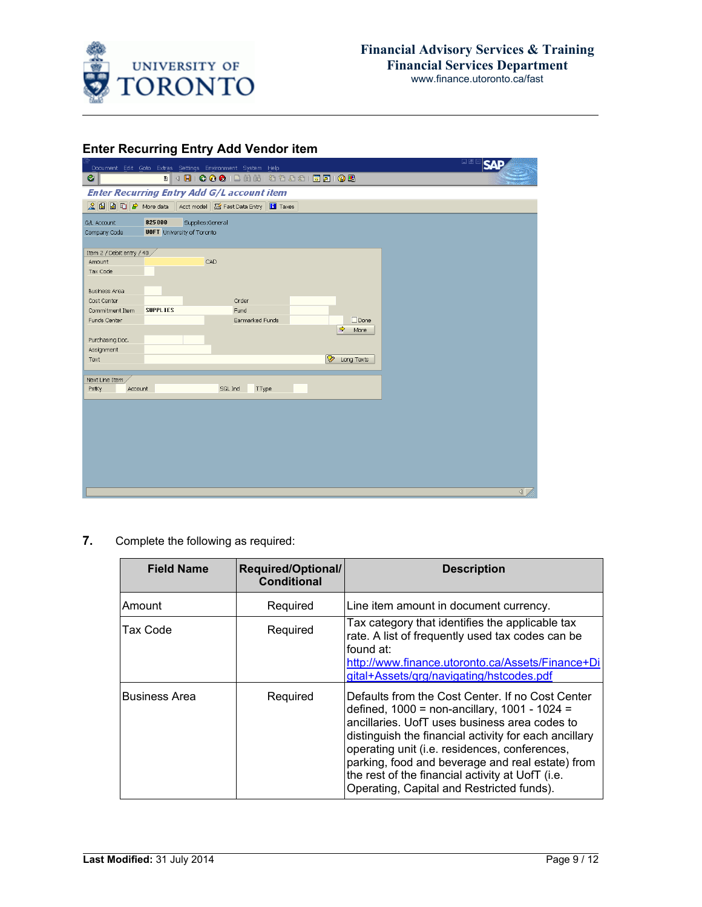

## **Enter Recurring Entry Add Vendor item**

|                               |                                   | Document Edit Goto Extras Settings Environment System Help                    |                       | <b>DE SAP</b>    |
|-------------------------------|-----------------------------------|-------------------------------------------------------------------------------|-----------------------|------------------|
| Ø                             |                                   |                                                                               |                       |                  |
|                               |                                   | <b>Enter Recurring Entry Add G/L account item</b>                             |                       |                  |
|                               |                                   | Q <b>G</b> G C → More data Acct model <b>G</b> Fast Data Entry <b>C</b> Taxes |                       |                  |
|                               |                                   |                                                                               |                       |                  |
| G/L Account                   | 825000                            | Supplies:General                                                              |                       |                  |
| Company Code                  | <b>UOFT</b> University of Toronto |                                                                               |                       |                  |
| Item 2 / Debit entry / 40 /   |                                   |                                                                               |                       |                  |
| Amount                        |                                   | CAD                                                                           |                       |                  |
| Tax Code                      |                                   |                                                                               |                       |                  |
|                               |                                   |                                                                               |                       |                  |
| <b>Business Area</b>          |                                   |                                                                               |                       |                  |
| Cost Center                   |                                   | Order                                                                         |                       |                  |
| Commitment Item               | <b>SUPPLIES</b>                   | Fund                                                                          |                       |                  |
| Funds Center                  |                                   | Earmarked Funds                                                               | $\Box$ Done           |                  |
|                               |                                   |                                                                               | $\Rightarrow$<br>More |                  |
| Purchasing Doc.<br>Assignment |                                   |                                                                               |                       |                  |
| Text                          |                                   |                                                                               | D<br>Long Texts       |                  |
|                               |                                   |                                                                               |                       |                  |
| Next Line Item,               |                                   |                                                                               |                       |                  |
| Account<br>PstKy              |                                   | SGL Ind<br>TType                                                              |                       |                  |
|                               |                                   |                                                                               |                       |                  |
|                               |                                   |                                                                               |                       |                  |
|                               |                                   |                                                                               |                       |                  |
|                               |                                   |                                                                               |                       |                  |
|                               |                                   |                                                                               |                       |                  |
|                               |                                   |                                                                               |                       |                  |
|                               |                                   |                                                                               |                       |                  |
|                               |                                   |                                                                               |                       |                  |
|                               |                                   |                                                                               |                       |                  |
|                               |                                   |                                                                               |                       | $\left  \right $ |

**7.** Complete the following as required:

| <b>Field Name</b>    | Required/Optional/<br><b>Conditional</b> | <b>Description</b>                                                                                                                                                                                                                                                                                                                                                                                                        |
|----------------------|------------------------------------------|---------------------------------------------------------------------------------------------------------------------------------------------------------------------------------------------------------------------------------------------------------------------------------------------------------------------------------------------------------------------------------------------------------------------------|
| Amount               | Required                                 | Line item amount in document currency.                                                                                                                                                                                                                                                                                                                                                                                    |
| Tax Code             | Required                                 | Tax category that identifies the applicable tax<br>rate. A list of frequently used tax codes can be<br>found at:<br>http://www.finance.utoronto.ca/Assets/Finance+Di<br>gital+Assets/grg/navigating/hstcodes.pdf                                                                                                                                                                                                          |
| <b>Business Area</b> | Required                                 | Defaults from the Cost Center. If no Cost Center<br>defined, $1000 = \text{non-ancillary}, 1001 - 1024 =$<br>ancillaries. UofT uses business area codes to<br>distinguish the financial activity for each ancillary<br>operating unit (i.e. residences, conferences,<br>parking, food and beverage and real estate) from<br>the rest of the financial activity at UofT (i.e.<br>Operating, Capital and Restricted funds). |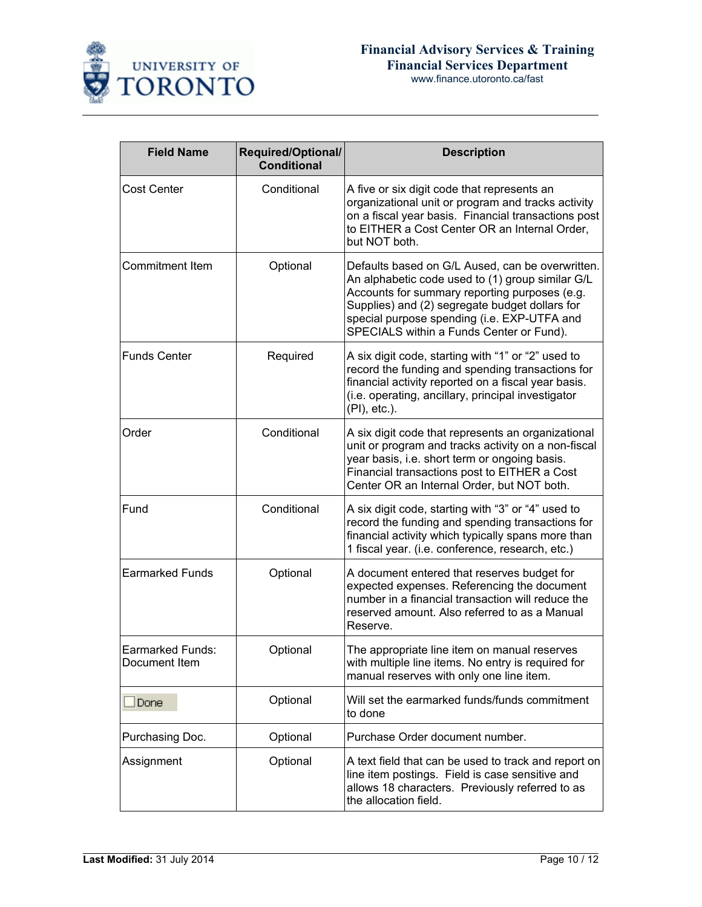

| www.finance.utoronto.ca/fast |
|------------------------------|
|                              |

| <b>Field Name</b>                 | Required/Optional/<br>Conditional | <b>Description</b>                                                                                                                                                                                                                                                                                 |  |  |
|-----------------------------------|-----------------------------------|----------------------------------------------------------------------------------------------------------------------------------------------------------------------------------------------------------------------------------------------------------------------------------------------------|--|--|
| Cost Center                       | Conditional                       | A five or six digit code that represents an<br>organizational unit or program and tracks activity<br>on a fiscal year basis. Financial transactions post<br>to EITHER a Cost Center OR an Internal Order,<br>but NOT both.                                                                         |  |  |
| Commitment Item                   | Optional                          | Defaults based on G/L Aused, can be overwritten.<br>An alphabetic code used to (1) group similar G/L<br>Accounts for summary reporting purposes (e.g.<br>Supplies) and (2) segregate budget dollars for<br>special purpose spending (i.e. EXP-UTFA and<br>SPECIALS within a Funds Center or Fund). |  |  |
| <b>Funds Center</b>               | Required                          | A six digit code, starting with "1" or "2" used to<br>record the funding and spending transactions for<br>financial activity reported on a fiscal year basis.<br>(i.e. operating, ancillary, principal investigator<br>(PI), etc.).                                                                |  |  |
| Order                             | Conditional                       | A six digit code that represents an organizational<br>unit or program and tracks activity on a non-fiscal<br>year basis, i.e. short term or ongoing basis.<br>Financial transactions post to EITHER a Cost<br>Center OR an Internal Order, but NOT both.                                           |  |  |
| Fund                              | Conditional                       | A six digit code, starting with "3" or "4" used to<br>record the funding and spending transactions for<br>financial activity which typically spans more than<br>1 fiscal year. (i.e. conference, research, etc.)                                                                                   |  |  |
| <b>Earmarked Funds</b>            | Optional                          | A document entered that reserves budget for<br>expected expenses. Referencing the document<br>number in a financial transaction will reduce the<br>reserved amount. Also referred to as a Manual<br>Reserve.                                                                                       |  |  |
| Earmarked Funds:<br>Document Item | Optional                          | The appropriate line item on manual reserves<br>with multiple line items. No entry is required for<br>manual reserves with only one line item.                                                                                                                                                     |  |  |
| Done                              | Optional                          | Will set the earmarked funds/funds commitment<br>to done                                                                                                                                                                                                                                           |  |  |
| Purchasing Doc.                   | Optional                          | Purchase Order document number.                                                                                                                                                                                                                                                                    |  |  |
| Optional<br>Assignment            |                                   | A text field that can be used to track and report on<br>line item postings. Field is case sensitive and<br>allows 18 characters. Previously referred to as<br>the allocation field.                                                                                                                |  |  |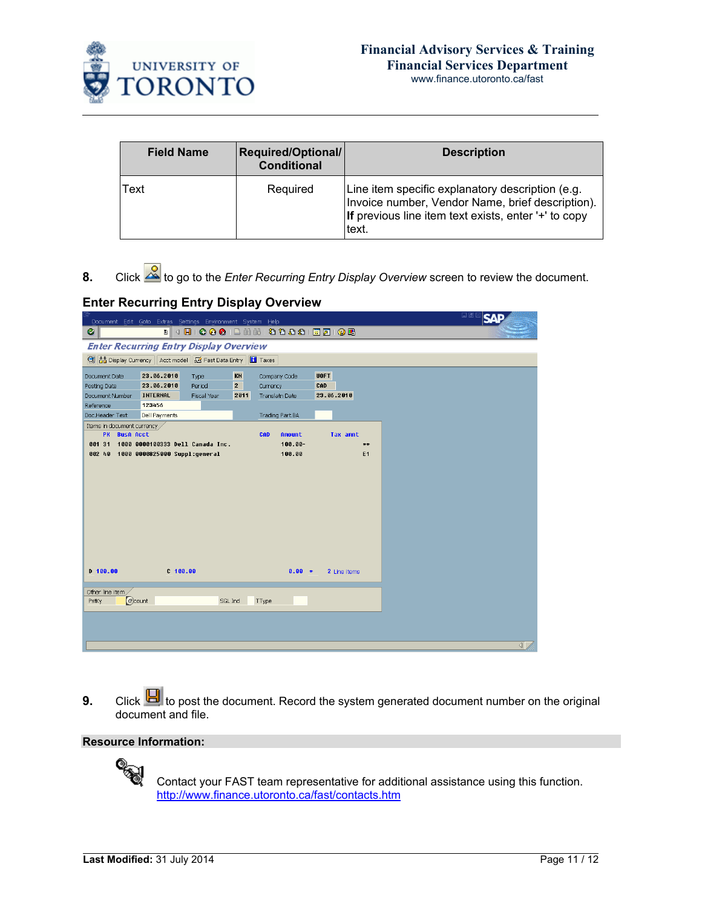

| www.finance.utoronto.ca/fast |  |
|------------------------------|--|
|------------------------------|--|

| <b>Field Name</b> | Required/Optional/<br><b>Conditional</b> | <b>Description</b>                                                                                                                                                    |
|-------------------|------------------------------------------|-----------------------------------------------------------------------------------------------------------------------------------------------------------------------|
| Text              | Required                                 | Line item specific explanatory description (e.g.<br>Invoice number, Vendor Name, brief description).<br>If previous line item text exists, enter '+' to copy<br>text. |

8. Click  $\frac{8}{\sqrt{2}}$  to go to the *Enter Recurring Entry Display Overview* screen to review the document.

### **Enter Recurring Entry Display Overview**

| Document Edit Goto Extras Settings Environment System Help |                                               |                                  |             |                      |                        | <b>SAP</b>     |  |  |
|------------------------------------------------------------|-----------------------------------------------|----------------------------------|-------------|----------------------|------------------------|----------------|--|--|
| Ø                                                          |                                               |                                  |             |                      |                        |                |  |  |
|                                                            | <b>Enter Recurring Entry Display Overview</b> |                                  |             |                      |                        |                |  |  |
| S Fast Data Entry   Taxes                                  |                                               |                                  |             |                      |                        |                |  |  |
| Document Date                                              | 23.06.2010                                    | Type                             | KN          | Company Code         | <b>UOFT</b>            |                |  |  |
| Posting Date                                               | 23.06.2010                                    | Period                           | $2^{\circ}$ | Currency             | CAD                    |                |  |  |
| Document Number                                            | <b>INTERNAL</b>                               | Fiscal Year                      | 2011        | Translatn Date       | 23.06.2010             |                |  |  |
| Reference                                                  | 123456                                        |                                  |             |                      |                        |                |  |  |
| Doc.Header Text                                            | Dell Payments                                 |                                  |             | Trading Part.BA      |                        |                |  |  |
| Items in document currency /                               |                                               |                                  |             |                      |                        |                |  |  |
| PK BusA Acct                                               |                                               |                                  |             | <b>CAD</b><br>Amount | Tax amnt               |                |  |  |
| 801 31<br>002 40 1000 0000825000 Suppl:general             |                                               | 1000 0000100333 Dell Canada Inc. |             | $100.00 -$<br>100.00 | $**$<br>E <sub>1</sub> |                |  |  |
|                                                            |                                               |                                  |             |                      |                        |                |  |  |
|                                                            |                                               |                                  |             |                      |                        |                |  |  |
|                                                            |                                               |                                  |             |                      |                        |                |  |  |
|                                                            |                                               |                                  |             |                      |                        |                |  |  |
|                                                            |                                               |                                  |             |                      |                        |                |  |  |
|                                                            |                                               |                                  |             |                      |                        |                |  |  |
|                                                            |                                               |                                  |             |                      |                        |                |  |  |
|                                                            |                                               |                                  |             |                      |                        |                |  |  |
|                                                            |                                               |                                  |             |                      |                        |                |  |  |
|                                                            |                                               |                                  |             |                      |                        |                |  |  |
| $D = 100.00$                                               | $C$ 188.88                                    |                                  |             | $0.00 *$             | 2 Line items           |                |  |  |
|                                                            |                                               |                                  |             |                      |                        |                |  |  |
| Other line item                                            |                                               |                                  |             |                      |                        |                |  |  |
| acount<br>PstKy                                            |                                               | SGL Ind                          |             | TType                |                        |                |  |  |
|                                                            |                                               |                                  |             |                      |                        |                |  |  |
|                                                            |                                               |                                  |             |                      |                        |                |  |  |
|                                                            |                                               |                                  |             |                      |                        |                |  |  |
|                                                            |                                               |                                  |             |                      |                        | $\blacksquare$ |  |  |

**9.** Click **H** to post the document. Record the system generated document number on the original document and file.

#### **Resource Information:**



Contact your FAST team representative for additional assistance using this function. [http://www.finance.utoronto.ca/fast/contacts.htm](http://finance.utoronto.ca/fast/fast-team-contacts-and-faculty-representatives/)